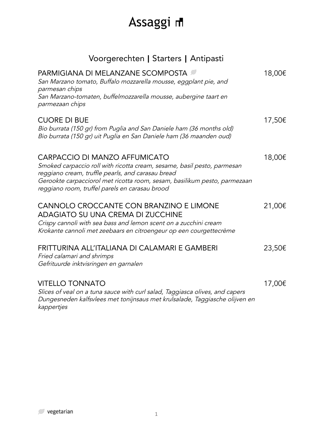### Voorgerechten **|** Starters **|** Antipasti

| <b>PARMIGIANA DI MELANZANE SCOMPOSTA</b><br>San Marzano tomato, Buffalo mozzarella mousse, eggplant pie, and<br>parmesan chips<br>San Marzano-tomaten, buffelmozzarella mousse, aubergine taart en<br>parmezaan chips                                                                        | 18,00€ |
|----------------------------------------------------------------------------------------------------------------------------------------------------------------------------------------------------------------------------------------------------------------------------------------------|--------|
| <b>CUORE DI BUE</b><br>Bio burrata (150 gr) from Puglia and San Daniele ham (36 months old)<br>Bio burrata (150 gr) uit Puglia en San Daniele ham (36 maanden oud)                                                                                                                           | 17,50€ |
| CARPACCIO DI MANZO AFFUMICATO<br>Smoked carpaccio roll with ricotta cream, sesame, basil pesto, parmesan<br>reggiano cream, truffle pearls, and carasau bread<br>Gerookte carpacciorol met ricotta room, sesam, basilikum pesto, parmezaan<br>reggiano room, truffel parels en carasau brood | 18,00€ |
| CANNOLO CROCCANTE CON BRANZINO E LIMONE<br><b>ADAGIATO SU UNA CREMA DI ZUCCHINE</b><br>Crispy cannoli with sea bass and lemon scent on a zucchini cream<br>Krokante cannoli met zeebaars en citroengeur op een courgettecrème                                                                | 21,00€ |
| FRITTURINA ALL'ITALIANA DI CALAMARI E GAMBERI<br>Fried calamari and shrimps<br>Gefrituurde inktvisringen en garnalen                                                                                                                                                                         | 23,50€ |
| <b>VITELLO TONNATO</b><br>Slices of veal on a tuna sauce with curl salad, Taggiasca olives, and capers<br>Dungesneden kalfsvlees met tonijnsaus met krulsalade, Taggiasche olijven en                                                                                                        | 17,00€ |

kappertjes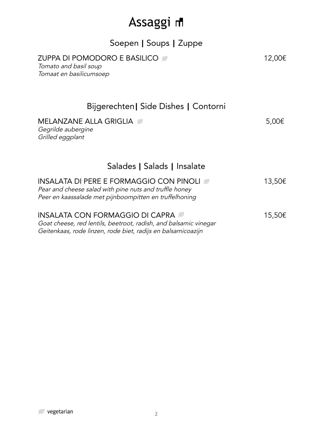| Soepen   Soups   Zuppe                                                                                                                                                |            |
|-----------------------------------------------------------------------------------------------------------------------------------------------------------------------|------------|
| ZUPPA DI POMODORO E BASILICO<br>Tomato and basil soup<br>Tomaat en basilicumsoep                                                                                      | 12,00€     |
| Bijgerechten   Side Dishes   Contorni                                                                                                                                 |            |
| MELANZANE ALLA GRIGLIA<br>Gegrilde aubergine<br>Grilled eggplant                                                                                                      | $5,00 \in$ |
| Salades   Salads   Insalate                                                                                                                                           |            |
| INSALATA DI PERE E FORMAGGIO CON PINOLI<br>Pear and cheese salad with pine nuts and truffle honey<br>Peer en kaassalade met pijnboompitten en truffelhoning           | 13,50€     |
| INSALATA CON FORMAGGIO DI CAPRA 2<br>Goat cheese, red lentils, beetroot, radish, and balsamic vinegar<br>Geitenkaas, rode linzen, rode biet, radijs en balsamicoazijn | 15,50€     |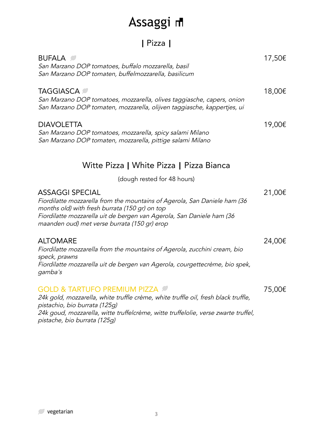### **|** Pizza **|**

| <b>BUFALA</b><br>San Marzano DOP tomatoes, buffalo mozzarella, basil<br>San Marzano DOP tomaten, buffelmozzarella, basilicum                                                                                                                                                         | 17,50€ |
|--------------------------------------------------------------------------------------------------------------------------------------------------------------------------------------------------------------------------------------------------------------------------------------|--------|
| <b>TAGGIASCA</b><br>San Marzano DOP tomatoes, mozzarella, olives taggiasche, capers, onion<br>San Marzano DOP tomaten, mozzarella, olijven taggiasche, kappertjes, ui                                                                                                                | 18,00€ |
| <b>DIAVOLETTA</b><br>San Marzano DOP tomatoes, mozzarella, spicy salami Milano<br>San Marzano DOP tomaten, mozzarella, pittige salami Milano                                                                                                                                         | 19,00€ |
| Witte Pizza   White Pizza   Pizza Bianca                                                                                                                                                                                                                                             |        |
| (dough rested for 48 hours)                                                                                                                                                                                                                                                          |        |
| <b>ASSAGGI SPECIAL</b><br>Fiordilatte mozzarella from the mountains of Agerola, San Daniele ham (36<br>months old) with fresh burrata (150 gr) on top<br>Fiordilatte mozzarella uit de bergen van Agerola, San Daniele ham (36<br>maanden oud) met verse burrata (150 gr) erop       | 21,00€ |
| <b>ALTOMARE</b><br>Fiordilatte mozzarella from the mountains of Agerola, zucchini cream, bio<br>speck, prawns<br>Fiordilatte mozzarella uit de bergen van Agerola, courgettecrème, bio spek,<br>gamba's                                                                              | 24,00€ |
| <b>GOLD &amp; TARTUFO PREMIUM PIZZA</b><br>24k gold, mozzarella, white truffle crème, white truffle oil, fresh black truffle,<br>pistachio, bio burrata (125g)<br>24k goud, mozzarella, witte truffelcrème, witte truffelolie, verse zwarte truffel,<br>pistache, bio burrata (125g) | 75,00€ |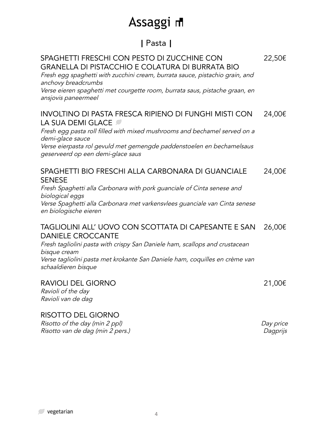#### **|** Pasta **|**

| SPAGHETTI FRESCHI CON PESTO DI ZUCCHINE CON<br><b>GRANELLA DI PISTACCHIO E COLATURA DI BURRATA BIO</b><br>Fresh egg spaghetti with zucchini cream, burrata sauce, pistachio grain, and<br>anchovy breadcrumbs<br>Verse eieren spaghetti met courgette room, burrata saus, pistache graan, en<br>ansjovis paneermeel | 22,50€ |
|---------------------------------------------------------------------------------------------------------------------------------------------------------------------------------------------------------------------------------------------------------------------------------------------------------------------|--------|
| INVOLTINO DI PASTA FRESCA RIPIENO DI FUNGHI MISTI CON<br>LA SUA DEMI GLACE<br>Fresh egg pasta roll filled with mixed mushrooms and bechamel served on a<br>demi-glace sauce<br>Verse eierpasta rol gevuld met gemengde paddenstoelen en bechamelsaus<br>geserveerd op een demi-glace saus                           | 24,00€ |
| SPAGHETTI BIO FRESCHI ALLA CARBONARA DI GUANCIALE<br><b>SENESE</b><br>Fresh Spaghetti alla Carbonara with pork guanciale of Cinta senese and<br>biological eggs<br>Verse Spaghetti alla Carbonara met varkensvlees guanciale van Cinta senese<br>en biologische eieren                                              | 24,00€ |
| TAGLIOLINI ALL' UOVO CON SCOTTATA DI CAPESANTE E SAN<br><b>DANIELE CROCCANTE</b><br>Fresh tagliolini pasta with crispy San Daniele ham, scallops and crustacean<br>bisque cream<br>Verse tagliolini pasta met krokante San Daniele ham, coquilles en crème van<br>schaaldieren bisque                               | 26,00€ |
| <b>RAVIOLI DEL GIORNO</b><br>Ravioli of the day<br>Ravioli van de dag                                                                                                                                                                                                                                               | 21,00€ |

#### RISOTTO DEL GIORNO

Risotto of the day (min <sup>2</sup> ppl) Risotto van de dag (min 2 pers.) Day price Dagprijs